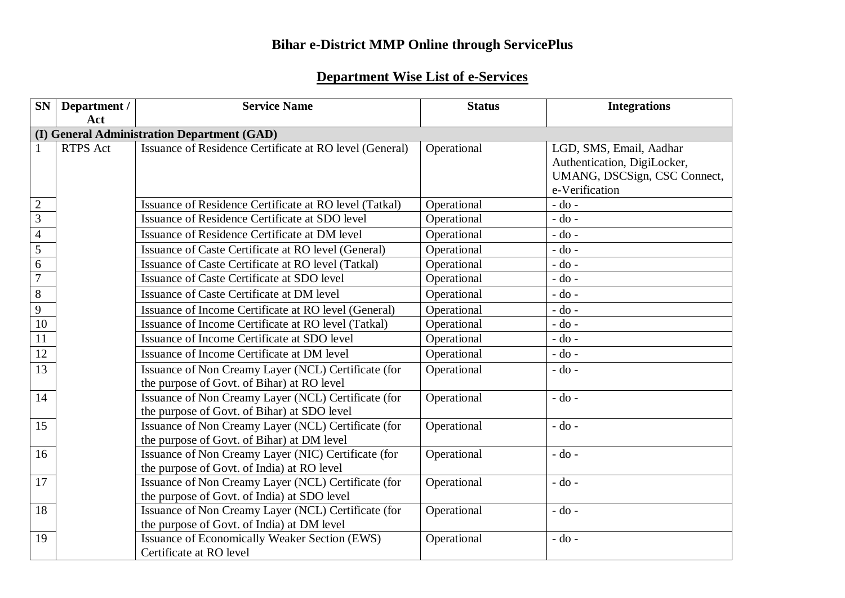## **Bihar e-District MMP Online through ServicePlus**

## **Department Wise List of e-Services**

| <b>SN</b>      | Department /    | <b>Service Name</b>                                                                                | <b>Status</b> | <b>Integrations</b>                                                                                      |
|----------------|-----------------|----------------------------------------------------------------------------------------------------|---------------|----------------------------------------------------------------------------------------------------------|
|                | Act             |                                                                                                    |               |                                                                                                          |
|                |                 | (I) General Administration Department (GAD)                                                        |               |                                                                                                          |
| 1              | <b>RTPS</b> Act | Issuance of Residence Certificate at RO level (General)                                            | Operational   | LGD, SMS, Email, Aadhar<br>Authentication, DigiLocker,<br>UMANG, DSCSign, CSC Connect,<br>e-Verification |
| $\overline{2}$ |                 | Issuance of Residence Certificate at RO level (Tatkal)                                             | Operational   | $-do$ -                                                                                                  |
| $\overline{3}$ |                 | Issuance of Residence Certificate at SDO level                                                     | Operational   | $-do -$                                                                                                  |
| $\overline{4}$ |                 | Issuance of Residence Certificate at DM level                                                      | Operational   | $-$ do $-$                                                                                               |
| $\overline{5}$ |                 | Issuance of Caste Certificate at RO level (General)                                                | Operational   | $-do -$                                                                                                  |
| $\overline{6}$ |                 | Issuance of Caste Certificate at RO level (Tatkal)                                                 | Operational   | $-do -$                                                                                                  |
| $\overline{7}$ |                 | Issuance of Caste Certificate at SDO level                                                         | Operational   | $-do$ -                                                                                                  |
| $\sqrt{8}$     |                 | <b>Issuance of Caste Certificate at DM level</b>                                                   | Operational   | $-do$ -                                                                                                  |
| $\overline{9}$ |                 | Issuance of Income Certificate at RO level (General)                                               | Operational   | $-do$ -                                                                                                  |
| 10             |                 | Issuance of Income Certificate at RO level (Tatkal)                                                | Operational   | $-do$ -                                                                                                  |
| 11             |                 | Issuance of Income Certificate at SDO level                                                        | Operational   | $-do$ -                                                                                                  |
| 12             |                 | Issuance of Income Certificate at DM level                                                         | Operational   | $-do$ -                                                                                                  |
| 13             |                 | Issuance of Non Creamy Layer (NCL) Certificate (for<br>the purpose of Govt. of Bihar) at RO level  | Operational   | $-$ do $-$                                                                                               |
| 14             |                 | Issuance of Non Creamy Layer (NCL) Certificate (for<br>the purpose of Govt. of Bihar) at SDO level | Operational   | $-$ do $-$                                                                                               |
| 15             |                 | Issuance of Non Creamy Layer (NCL) Certificate (for<br>the purpose of Govt. of Bihar) at DM level  | Operational   | $-do$ -                                                                                                  |
| 16             |                 | Issuance of Non Creamy Layer (NIC) Certificate (for<br>the purpose of Govt. of India) at RO level  | Operational   | $-$ do $-$                                                                                               |
| 17             |                 | Issuance of Non Creamy Layer (NCL) Certificate (for<br>the purpose of Govt. of India) at SDO level | Operational   | $-do$ -                                                                                                  |
| 18             |                 | Issuance of Non Creamy Layer (NCL) Certificate (for<br>the purpose of Govt. of India) at DM level  | Operational   | $-$ do $-$                                                                                               |
| 19             |                 | Issuance of Economically Weaker Section (EWS)<br>Certificate at RO level                           | Operational   | - do -                                                                                                   |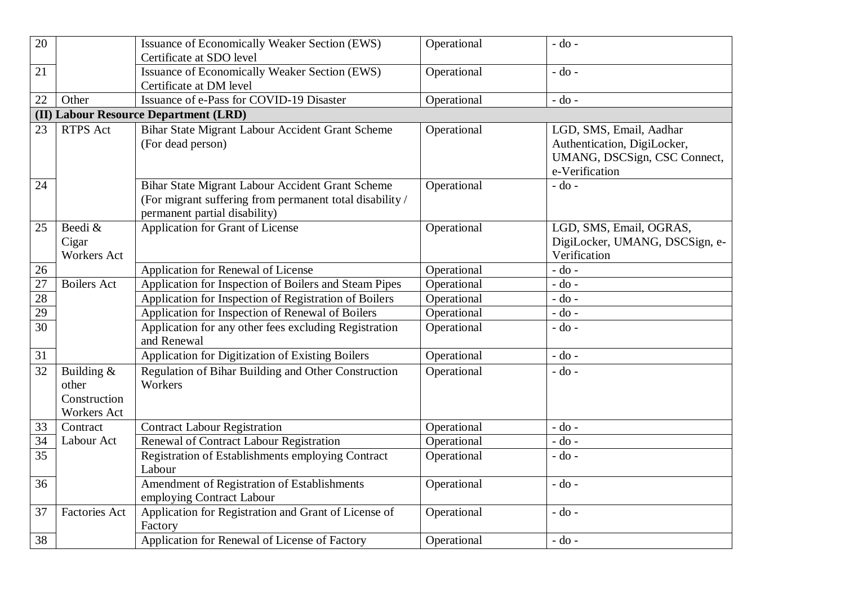| 20 |                      | <b>Issuance of Economically Weaker Section (EWS)</b>     | Operational | $-do$ -                        |
|----|----------------------|----------------------------------------------------------|-------------|--------------------------------|
|    |                      | Certificate at SDO level                                 |             |                                |
| 21 |                      | <b>Issuance of Economically Weaker Section (EWS)</b>     | Operational | $-do$ -                        |
|    |                      | Certificate at DM level                                  |             |                                |
| 22 | Other                | Issuance of e-Pass for COVID-19 Disaster                 | Operational | $-$ do $-$                     |
|    |                      | (II) Labour Resource Department (LRD)                    |             |                                |
| 23 | <b>RTPS Act</b>      | Bihar State Migrant Labour Accident Grant Scheme         | Operational | LGD, SMS, Email, Aadhar        |
|    |                      | (For dead person)                                        |             | Authentication, DigiLocker,    |
|    |                      |                                                          |             | UMANG, DSCSign, CSC Connect,   |
|    |                      |                                                          |             | e-Verification                 |
| 24 |                      | Bihar State Migrant Labour Accident Grant Scheme         | Operational | $-do$ -                        |
|    |                      | (For migrant suffering from permanent total disability / |             |                                |
|    |                      | permanent partial disability)                            |             |                                |
| 25 | Beedi &              | Application for Grant of License                         | Operational | LGD, SMS, Email, OGRAS,        |
|    | Cigar                |                                                          |             | DigiLocker, UMANG, DSCSign, e- |
|    | <b>Workers Act</b>   |                                                          |             | Verification                   |
| 26 |                      | Application for Renewal of License                       | Operational | $-do$ -                        |
| 27 | <b>Boilers Act</b>   | Application for Inspection of Boilers and Steam Pipes    | Operational | $-do$ -                        |
| 28 |                      | Application for Inspection of Registration of Boilers    | Operational | $-$ do $-$                     |
| 29 |                      | Application for Inspection of Renewal of Boilers         | Operational | $-do$ -                        |
| 30 |                      | Application for any other fees excluding Registration    | Operational | $-$ do $-$                     |
|    |                      | and Renewal                                              |             |                                |
| 31 |                      | Application for Digitization of Existing Boilers         | Operational | $-do$ -                        |
| 32 | Building &           | Regulation of Bihar Building and Other Construction      | Operational | $-do -$                        |
|    | other                | Workers                                                  |             |                                |
|    | Construction         |                                                          |             |                                |
|    | Workers Act          |                                                          |             |                                |
| 33 | Contract             | <b>Contract Labour Registration</b>                      | Operational | $-$ do $-$                     |
| 34 | Labour Act           | Renewal of Contract Labour Registration                  | Operational | $-do$ -                        |
| 35 |                      | Registration of Establishments employing Contract        | Operational | $-$ do $-$                     |
|    |                      | Labour                                                   |             |                                |
| 36 |                      | Amendment of Registration of Establishments              | Operational | $-$ do $-$                     |
|    |                      | employing Contract Labour                                |             |                                |
| 37 | <b>Factories Act</b> | Application for Registration and Grant of License of     | Operational | $-$ do $-$                     |
|    |                      | Factory                                                  |             |                                |
| 38 |                      | Application for Renewal of License of Factory            | Operational | $-$ do $-$                     |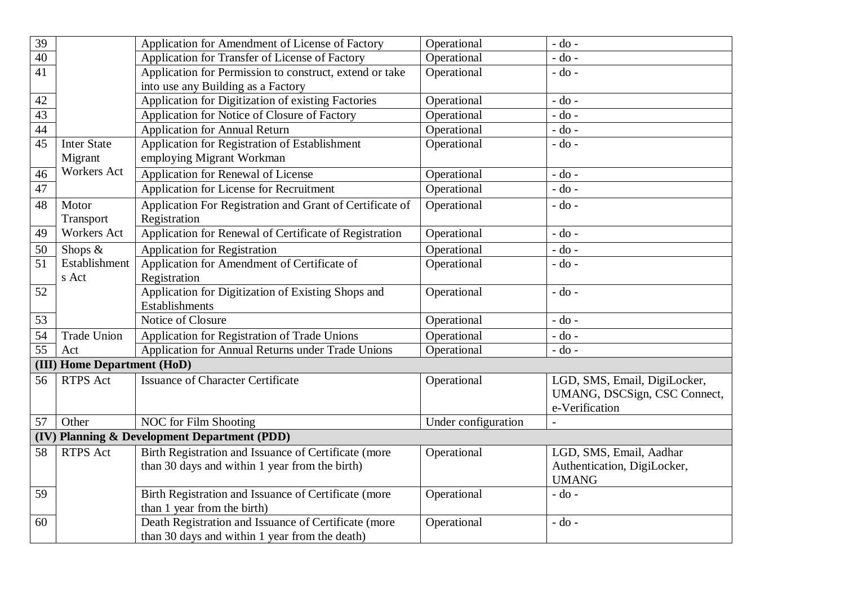| 39                                           |                             | Application for Amendment of License of Factory          | Operational         | $-$ do $-$                   |  |
|----------------------------------------------|-----------------------------|----------------------------------------------------------|---------------------|------------------------------|--|
| 40                                           |                             | Application for Transfer of License of Factory           | Operational         | $-$ do $-$                   |  |
| $\overline{41}$                              |                             | Application for Permission to construct, extend or take  | Operational         | $-do$ -                      |  |
|                                              |                             | into use any Building as a Factory                       |                     |                              |  |
| 42                                           |                             | Application for Digitization of existing Factories       | Operational         | $-do$ -                      |  |
| 43                                           |                             | Application for Notice of Closure of Factory             | Operational         | $-do$ -                      |  |
| 44                                           |                             | <b>Application for Annual Return</b>                     | Operational         | $-$ do $-$                   |  |
| $\overline{45}$                              | <b>Inter State</b>          | Application for Registration of Establishment            | Operational         | $-do$ -                      |  |
|                                              | Migrant                     | employing Migrant Workman                                |                     |                              |  |
| 46                                           | <b>Workers Act</b>          | Application for Renewal of License                       | Operational         | $-do$ -                      |  |
| 47                                           |                             | Application for License for Recruitment                  | Operational         | $-do -$                      |  |
| 48                                           | Motor                       | Application For Registration and Grant of Certificate of | Operational         | $-do$ -                      |  |
|                                              | Transport                   | Registration                                             |                     |                              |  |
| 49                                           | <b>Workers Act</b>          | Application for Renewal of Certificate of Registration   | Operational         | $-do$ -                      |  |
| 50                                           | Shops &                     | <b>Application for Registration</b>                      | Operational         | $-$ do $-$                   |  |
| 51                                           | Establishment               | Application for Amendment of Certificate of              | Operational         | $-$ do $-$                   |  |
|                                              | s Act                       | Registration                                             |                     |                              |  |
| 52                                           |                             | Application for Digitization of Existing Shops and       | Operational         | $-$ do $-$                   |  |
|                                              |                             | <b>Establishments</b>                                    |                     |                              |  |
| 53                                           |                             | Notice of Closure                                        | Operational         | $-do -$                      |  |
| 54                                           | <b>Trade Union</b>          | Application for Registration of Trade Unions             | Operational         | $-$ do $-$                   |  |
| 55                                           | Act                         | Application for Annual Returns under Trade Unions        | Operational         | $-do$ -                      |  |
|                                              | (III) Home Department (HoD) |                                                          |                     |                              |  |
| 56                                           | RTPS Act                    | <b>Issuance of Character Certificate</b>                 | Operational         | LGD, SMS, Email, DigiLocker, |  |
|                                              |                             |                                                          |                     | UMANG, DSCSign, CSC Connect, |  |
|                                              |                             |                                                          |                     | e-Verification               |  |
| 57                                           | Other                       | <b>NOC</b> for Film Shooting                             | Under configuration |                              |  |
| (IV) Planning & Development Department (PDD) |                             |                                                          |                     |                              |  |
| 58                                           | <b>RTPS</b> Act             | Birth Registration and Issuance of Certificate (more     | Operational         | LGD, SMS, Email, Aadhar      |  |
|                                              |                             | than 30 days and within 1 year from the birth)           |                     | Authentication, DigiLocker,  |  |
|                                              |                             |                                                          |                     | <b>UMANG</b>                 |  |
| 59                                           |                             | Birth Registration and Issuance of Certificate (more     | Operational         | $-do$ -                      |  |
|                                              |                             | than 1 year from the birth)                              |                     |                              |  |
| 60                                           |                             | Death Registration and Issuance of Certificate (more     | Operational         | $-$ do $-$                   |  |
|                                              |                             | than 30 days and within 1 year from the death)           |                     |                              |  |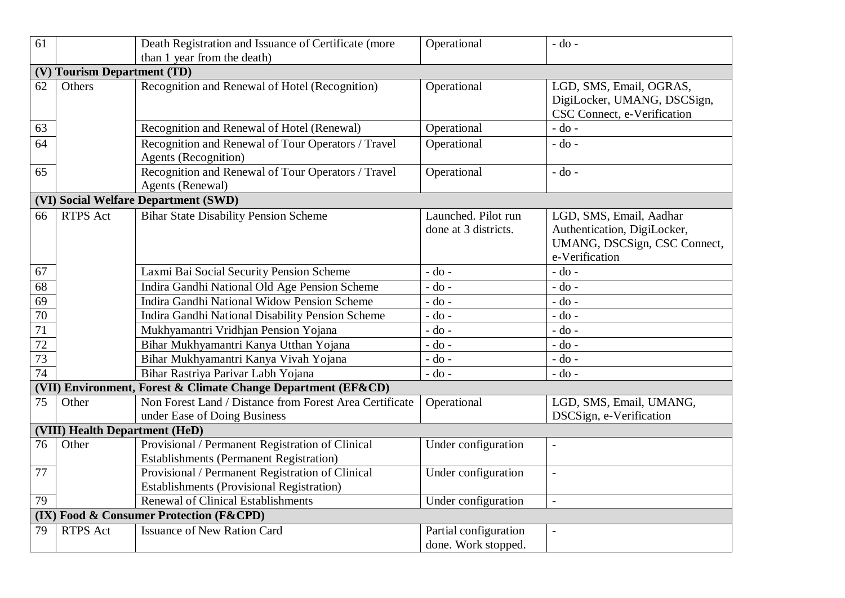| 61                             |                                                               | Death Registration and Issuance of Certificate (more                                                 | Operational                                  | $-do$ -                                                                                                  |  |
|--------------------------------|---------------------------------------------------------------|------------------------------------------------------------------------------------------------------|----------------------------------------------|----------------------------------------------------------------------------------------------------------|--|
|                                |                                                               | than 1 year from the death)                                                                          |                                              |                                                                                                          |  |
| (V)                            | <b>Tourism Department (TD)</b>                                |                                                                                                      |                                              |                                                                                                          |  |
| 62                             | Others                                                        | Recognition and Renewal of Hotel (Recognition)                                                       | Operational                                  | LGD, SMS, Email, OGRAS,<br>DigiLocker, UMANG, DSCSign,<br>CSC Connect, e-Verification                    |  |
| 63                             |                                                               | Recognition and Renewal of Hotel (Renewal)                                                           | Operational                                  | $-$ do $-$                                                                                               |  |
| 64                             |                                                               | Recognition and Renewal of Tour Operators / Travel<br><b>Agents</b> (Recognition)                    | Operational                                  | $-do$ -                                                                                                  |  |
| 65                             |                                                               | Recognition and Renewal of Tour Operators / Travel<br><b>Agents (Renewal)</b>                        | Operational                                  | $-do -$                                                                                                  |  |
|                                |                                                               | (VI) Social Welfare Department (SWD)                                                                 |                                              |                                                                                                          |  |
| 66                             | <b>RTPS</b> Act                                               | <b>Bihar State Disability Pension Scheme</b>                                                         | Launched. Pilot run<br>done at 3 districts.  | LGD, SMS, Email, Aadhar<br>Authentication, DigiLocker,<br>UMANG, DSCSign, CSC Connect,<br>e-Verification |  |
| 67                             |                                                               | Laxmi Bai Social Security Pension Scheme                                                             | $-$ do $-$                                   | $-do -$                                                                                                  |  |
| 68                             |                                                               | Indira Gandhi National Old Age Pension Scheme                                                        | $-do$ -                                      | $-do$ -                                                                                                  |  |
| 69                             |                                                               | Indira Gandhi National Widow Pension Scheme                                                          | $-do$ -                                      | $-$ do $-$                                                                                               |  |
| 70                             |                                                               | Indira Gandhi National Disability Pension Scheme                                                     | $-$ do $-$                                   | $-do$ -                                                                                                  |  |
| 71                             |                                                               | Mukhyamantri Vridhjan Pension Yojana                                                                 | $-$ do $-$                                   | $-do$ -                                                                                                  |  |
| 72                             |                                                               | Bihar Mukhyamantri Kanya Utthan Yojana                                                               | $-do$ -                                      | $-$ do $-$                                                                                               |  |
| 73                             |                                                               | Bihar Mukhyamantri Kanya Vivah Yojana                                                                | $-$ do $-$                                   | $-do$ -                                                                                                  |  |
| 74                             |                                                               | Bihar Rastriya Parivar Labh Yojana                                                                   | $-do$ -                                      | $-do$ -                                                                                                  |  |
|                                | (VII) Environment, Forest & Climate Change Department (EF&CD) |                                                                                                      |                                              |                                                                                                          |  |
| 75                             | Other                                                         | Non Forest Land / Distance from Forest Area Certificate<br>under Ease of Doing Business              | Operational                                  | LGD, SMS, Email, UMANG,<br>DSCSign, e-Verification                                                       |  |
| (VIII) Health Department (HeD) |                                                               |                                                                                                      |                                              |                                                                                                          |  |
| 76                             | Other                                                         | Provisional / Permanent Registration of Clinical<br><b>Establishments (Permanent Registration)</b>   | Under configuration                          |                                                                                                          |  |
| 77                             |                                                               | Provisional / Permanent Registration of Clinical<br><b>Establishments (Provisional Registration)</b> | Under configuration                          | $\overline{a}$                                                                                           |  |
| 79                             |                                                               | <b>Renewal of Clinical Establishments</b>                                                            | Under configuration                          | $\overline{\phantom{a}}$                                                                                 |  |
|                                |                                                               | (IX) Food & Consumer Protection (F&CPD)                                                              |                                              |                                                                                                          |  |
| 79                             | <b>RTPS</b> Act                                               | <b>Issuance of New Ration Card</b>                                                                   | Partial configuration<br>done. Work stopped. | $\overline{\phantom{a}}$                                                                                 |  |